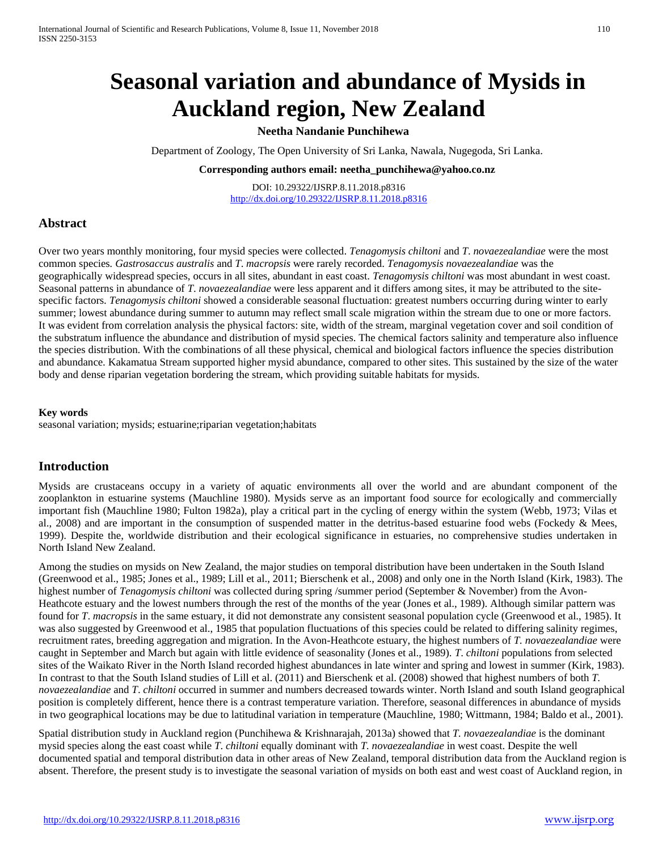# **Seasonal variation and abundance of Mysids in Auckland region, New Zealand**

## **Neetha Nandanie Punchihewa**

Department of Zoology, The Open University of Sri Lanka, Nawala, Nugegoda, Sri Lanka.

**Corresponding authors email: neetha\_punchihewa@yahoo.co.nz**

DOI: 10.29322/IJSRP.8.11.2018.p8316 <http://dx.doi.org/10.29322/IJSRP.8.11.2018.p8316>

## **Abstract**

Over two years monthly monitoring, four mysid species were collected. *Tenagomysis chiltoni* and *T*. *novaezealandiae* were the most common species*. Gastrosaccus australis* and *T*. *macropsis* were rarely recorded. *Tenagomysis novaezealandiae* was the geographically widespread species, occurs in all sites, abundant in east coast. *Tenagomysis chiltoni* was most abundant in west coast. Seasonal patterns in abundance of *T*. *novaezealandiae* were less apparent and it differs among sites, it may be attributed to the sitespecific factors. *Tenagomysis chiltoni* showed a considerable seasonal fluctuation: greatest numbers occurring during winter to early summer; lowest abundance during summer to autumn may reflect small scale migration within the stream due to one or more factors. It was evident from correlation analysis the physical factors: site, width of the stream, marginal vegetation cover and soil condition of the substratum influence the abundance and distribution of mysid species. The chemical factors salinity and temperature also influence the species distribution. With the combinations of all these physical, chemical and biological factors influence the species distribution and abundance. Kakamatua Stream supported higher mysid abundance, compared to other sites. This sustained by the size of the water body and dense riparian vegetation bordering the stream, which providing suitable habitats for mysids.

#### **Key words**

seasonal variation; mysids; estuarine;riparian vegetation;habitats

## **Introduction**

Mysids are crustaceans occupy in a variety of aquatic environments all over the world and are abundant component of the zooplankton in estuarine systems (Mauchline 1980). Mysids serve as an important food source for ecologically and commercially important fish (Mauchline 1980; Fulton 1982a), play a critical part in the cycling of energy within the system (Webb, 1973; Vilas et al., 2008) and are important in the consumption of suspended matter in the detritus-based estuarine food webs (Fockedy & Mees, 1999). Despite the, worldwide distribution and their ecological significance in estuaries, no comprehensive studies undertaken in North Island New Zealand.

Among the studies on mysids on New Zealand, the major studies on temporal distribution have been undertaken in the South Island (Greenwood et al., 1985; Jones et al., 1989; Lill et al., 2011; Bierschenk et al., 2008) and only one in the North Island (Kirk, 1983). The highest number of *Tenagomysis chiltoni* was collected during spring /summer period (September & November) from the Avon-Heathcote estuary and the lowest numbers through the rest of the months of the year (Jones et al., 1989). Although similar pattern was found for *T*. *macropsis* in the same estuary, it did not demonstrate any consistent seasonal population cycle (Greenwood et al., 1985). It was also suggested by Greenwood et al., 1985 that population fluctuations of this species could be related to differing salinity regimes, recruitment rates, breeding aggregation and migration. In the Avon-Heathcote estuary, the highest numbers of *T. novaezealandiae* were caught in September and March but again with little evidence of seasonality (Jones et al., 1989). *T*. *chiltoni* populations from selected sites of the Waikato River in the North Island recorded highest abundances in late winter and spring and lowest in summer (Kirk, 1983). In contrast to that the South Island studies of Lill et al. (2011) and Bierschenk et al. (2008) showed that highest numbers of both *T. novaezealandiae* and *T*. *chiltoni* occurred in summer and numbers decreased towards winter. North Island and south Island geographical position is completely different, hence there is a contrast temperature variation. Therefore, seasonal differences in abundance of mysids in two geographical locations may be due to latitudinal variation in temperature (Mauchline, 1980; Wittmann, 1984; Baldo et al., 2001).

Spatial distribution study in Auckland region (Punchihewa & Krishnarajah, 2013a) showed that *T. novaezealandiae* is the dominant mysid species along the east coast while *T*. *chiltoni* equally dominant with *T. novaezealandiae* in west coast. Despite the well documented spatial and temporal distribution data in other areas of New Zealand, temporal distribution data from the Auckland region is absent. Therefore, the present study is to investigate the seasonal variation of mysids on both east and west coast of Auckland region, in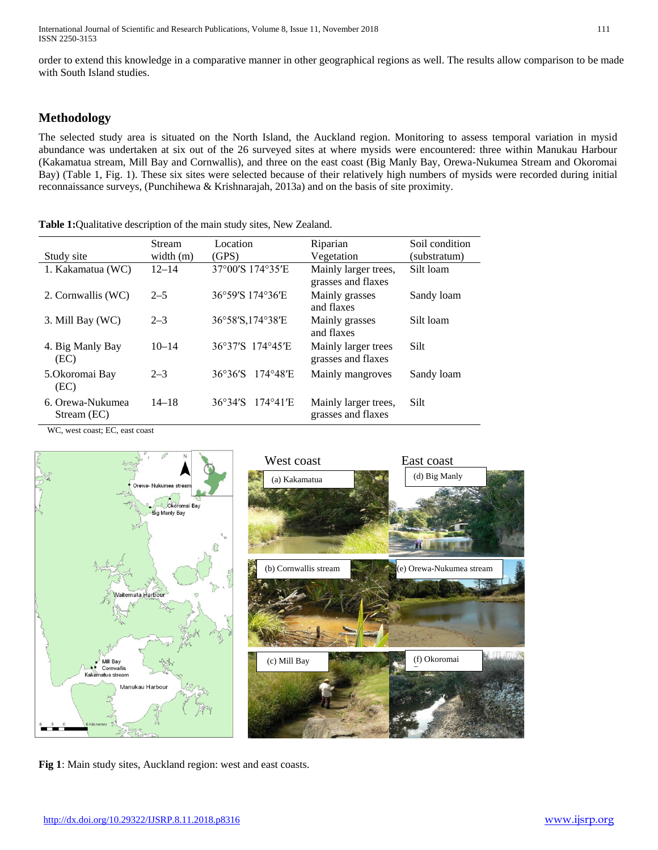order to extend this knowledge in a comparative manner in other geographical regions as well. The results allow comparison to be made with South Island studies.

## **Methodology**

The selected study area is situated on the North Island, the Auckland region. Monitoring to assess temporal variation in mysid abundance was undertaken at six out of the 26 surveyed sites at where mysids were encountered: three within Manukau Harbour (Kakamatua stream, Mill Bay and Cornwallis), and three on the east coast (Big Manly Bay, Orewa-Nukumea Stream and Okoromai Bay) (Table 1, Fig. 1). These six sites were selected because of their relatively high numbers of mysids were recorded during initial reconnaissance surveys, (Punchihewa & Krishnarajah, 2013a) and on the basis of site proximity.

**Table 1:**Qualitative description of the main study sites, New Zealand.

|                                 | <b>Stream</b> | Location                                     | Riparian                                   | Soil condition |
|---------------------------------|---------------|----------------------------------------------|--------------------------------------------|----------------|
| Study site                      | width $(m)$   | (GPS)                                        | Vegetation                                 | (substratum)   |
| 1. Kakamatua (WC)               | $12 - 14$     | 37°00'S 174°35'E                             | Mainly larger trees,<br>grasses and flaxes | Silt loam      |
| 2. Cornwallis (WC)              | $2 - 5$       | 36°59'S 174°36'E                             | Mainly grasses<br>and flaxes               | Sandy loam     |
| 3. Mill Bay (WC)                | $2 - 3$       | 36°58′S,174°38′E                             | Mainly grasses<br>and flaxes               | Silt loam      |
| 4. Big Manly Bay<br>(EC)        | $10 - 14$     | 36°37'S 174°45'E                             | Mainly larger trees<br>grasses and flaxes  | Silt           |
| 5. Okoromai Bay<br>(EC)         | $2 - 3$       | $36^{\circ}36^{\prime}S$<br>174°48'E         | Mainly mangroves                           | Sandy loam     |
| 6. Orewa-Nukumea<br>Stream (EC) | $14 - 18$     | $36^\circ 34^\prime$ S<br>$174^{\circ}41'$ E | Mainly larger trees,<br>grasses and flaxes | Silt           |

WC, west coast; EC, east coast



**Fig 1**: Main study sites, Auckland region: west and east coasts.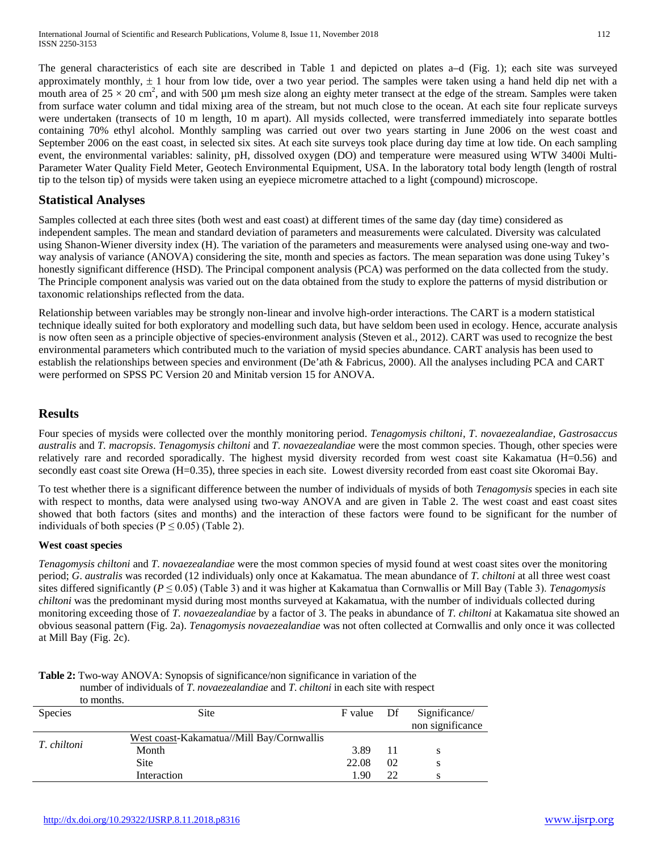The general characteristics of each site are described in Table 1 and depicted on plates a–d (Fig. 1); each site was surveyed approximately monthly,  $\pm 1$  hour from low tide, over a two year period. The samples were taken using a hand held dip net with a mouth area of  $25 \times 20$  cm<sup>2</sup>, and with 500 µm mesh size along an eighty meter transect at the edge of the stream. Samples were taken from surface water column and tidal mixing area of the stream, but not much close to the ocean. At each site four replicate surveys were undertaken (transects of 10 m length, 10 m apart). All mysids collected, were transferred immediately into separate bottles containing 70% ethyl alcohol. Monthly sampling was carried out over two years starting in June 2006 on the west coast and September 2006 on the east coast, in selected six sites. At each site surveys took place during day time at low tide. On each sampling event, the environmental variables: salinity, pH, dissolved oxygen (DO) and temperature were measured using WTW 3400i Multi-Parameter Water Quality Field Meter, Geotech Environmental Equipment, USA. In the laboratory total body length (length of rostral tip to the telson tip) of mysids were taken using an eyepiece micrometre attached to a light (compound) microscope.

## **Statistical Analyses**

Samples collected at each three sites (both west and east coast) at different times of the same day (day time) considered as independent samples. The mean and standard deviation of parameters and measurements were calculated. Diversity was calculated using Shanon-Wiener diversity index (H). The variation of the parameters and measurements were analysed using one-way and twoway analysis of variance (ANOVA) considering the site, month and species as factors. The mean separation was done using Tukey's honestly significant difference (HSD). The Principal component analysis (PCA) was performed on the data collected from the study. The Principle component analysis was varied out on the data obtained from the study to explore the patterns of mysid distribution or taxonomic relationships reflected from the data.

Relationship between variables may be strongly non-linear and involve high-order interactions. The CART is a modern statistical technique ideally suited for both exploratory and modelling such data, but have seldom been used in ecology. Hence, accurate analysis is now often seen as a principle objective of species-environment analysis (Steven et al., 2012). CART was used to recognize the best environmental parameters which contributed much to the variation of mysid species abundance. CART analysis has been used to establish the relationships between species and environment (De'ath & Fabricus, 2000). All the analyses including PCA and CART were performed on SPSS PC Version 20 and Minitab version 15 for ANOVA.

## **Results**

Four species of mysids were collected over the monthly monitoring period. *Tenagomysis chiltoni*, *T*. *novaezealandiae*, *Gastrosaccus australis* and *T. macropsis*. *Tenagomysis chiltoni* and *T*. *novaezealandiae* were the most common species. Though, other species were relatively rare and recorded sporadically. The highest mysid diversity recorded from west coast site Kakamatua (H=0.56) and secondly east coast site Orewa (H=0.35), three species in each site. Lowest diversity recorded from east coast site Okoromai Bay.

To test whether there is a significant difference between the number of individuals of mysids of both *Tenagomysis* species in each site with respect to months, data were analysed using two-way ANOVA and are given in Table 2. The west coast and east coast sites showed that both factors (sites and months) and the interaction of these factors were found to be significant for the number of individuals of both species ( $P \le 0.05$ ) (Table 2).

## **West coast species**

*Tenagomysis chiltoni* and *T*. *novaezealandiae* were the most common species of mysid found at west coast sites over the monitoring period; *G*. *australis* was recorded (12 individuals) only once at Kakamatua. The mean abundance of *T. chiltoni* at all three west coast sites differed significantly (*P* ≤ 0.05) (Table 3) and it was higher at Kakamatua than Cornwallis or Mill Bay (Table 3). *Tenagomysis chiltoni* was the predominant mysid during most months surveyed at Kakamatua, with the number of individuals collected during monitoring exceeding those of *T. novaezealandiae* by a factor of 3. The peaks in abundance of *T. chiltoni* at Kakamatua site showed an obvious seasonal pattern (Fig. 2a). *Tenagomysis novaezealandiae* was not often collected at Cornwallis and only once it was collected at Mill Bay (Fig. 2c).

|                | to months.                                |            |    |                                   |
|----------------|-------------------------------------------|------------|----|-----------------------------------|
| <b>Species</b> | <b>Site</b>                               | F value Df |    | Significance/<br>non significance |
|                |                                           |            |    |                                   |
| T. chiltoni    | West coast-Kakamatua//Mill Bay/Cornwallis |            |    |                                   |
|                | Month                                     | 3.89       | 11 |                                   |
|                | <b>Site</b>                               | 22.08      | 02 | S                                 |
|                | Interaction                               | 1.90       | 22 |                                   |

**Table 2:** Two-way ANOVA: Synopsis of significance/non significance in variation of the number of individuals of *T*. *novaezealandiae* and *T*. *chiltoni* in each site with respect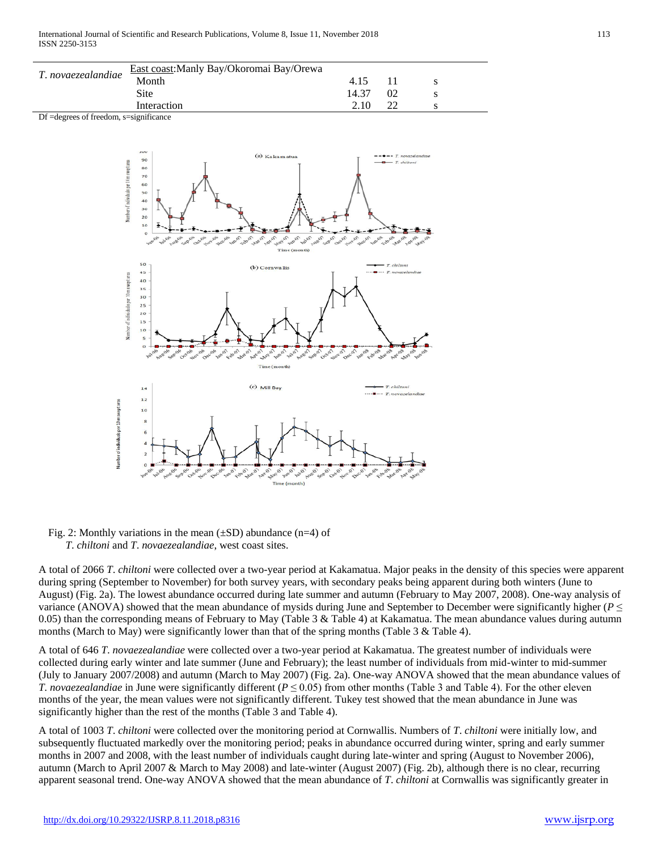|                    | East coast: Manly Bay/Okoromai Bay/Orewa |       |    |  |
|--------------------|------------------------------------------|-------|----|--|
| T. novaezealandiae | Month                                    | 4.15  |    |  |
|                    | Site                                     | 14.37 | 02 |  |
|                    | Interaction                              | 2.10  |    |  |

Df =degrees of freedom, s=significance



#### Fig. 2: Monthly variations in the mean  $(\pm SD)$  abundance (n=4) of *T*. *chiltoni* and *T*. *novaezealandiae*, west coast sites.

A total of 2066 *T*. *chiltoni* were collected over a two-year period at Kakamatua. Major peaks in the density of this species were apparent during spring (September to November) for both survey years, with secondary peaks being apparent during both winters (June to August) (Fig. 2a). The lowest abundance occurred during late summer and autumn (February to May 2007, 2008). One-way analysis of variance (ANOVA) showed that the mean abundance of mysids during June and September to December were significantly higher ( $P \leq$ 0.05) than the corresponding means of February to May (Table 3 & Table 4) at Kakamatua. The mean abundance values during autumn months (March to May) were significantly lower than that of the spring months (Table 3  $\&$  Table 4).

A total of 646 *T*. *novaezealandiae* were collected over a two-year period at Kakamatua. The greatest number of individuals were collected during early winter and late summer (June and February); the least number of individuals from mid-winter to mid-summer (July to January 2007/2008) and autumn (March to May 2007) (Fig. 2a). One-way ANOVA showed that the mean abundance values of *T. novaezealandiae* in June were significantly different ( $P \le 0.05$ ) from other months (Table 3 and Table 4). For the other eleven months of the year, the mean values were not significantly different. Tukey test showed that the mean abundance in June was significantly higher than the rest of the months (Table 3 and Table 4).

A total of 1003 *T*. *chiltoni* were collected over the monitoring period at Cornwallis. Numbers of *T*. *chiltoni* were initially low, and subsequently fluctuated markedly over the monitoring period; peaks in abundance occurred during winter, spring and early summer months in 2007 and 2008, with the least number of individuals caught during late-winter and spring (August to November 2006), autumn (March to April 2007 & March to May 2008) and late-winter (August 2007) (Fig. 2b), although there is no clear, recurring apparent seasonal trend. One-way ANOVA showed that the mean abundance of *T*. *chiltoni* at Cornwallis was significantly greater in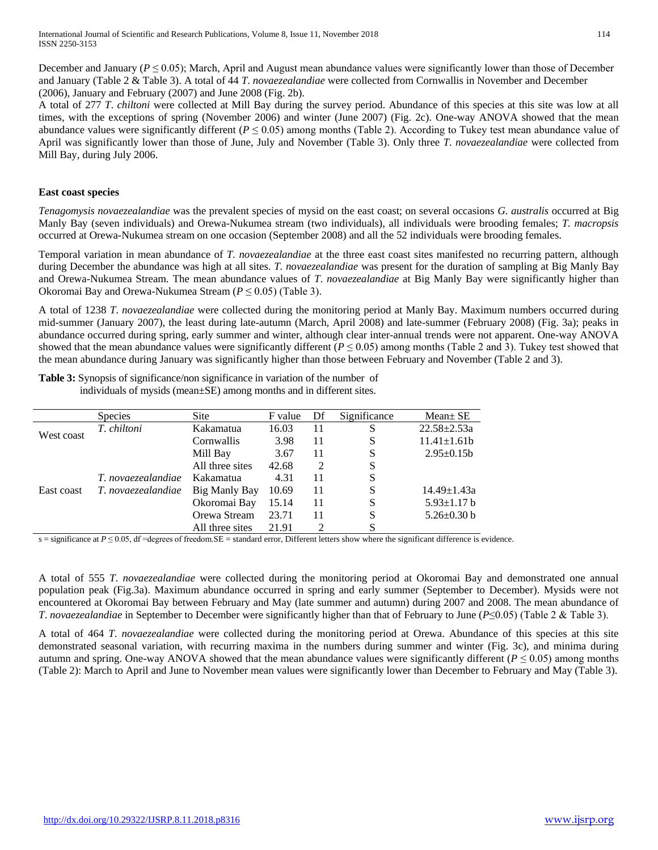December and January ( $P \le 0.05$ ); March, April and August mean abundance values were significantly lower than those of December and January (Table 2 & Table 3). A total of 44 *T*. *novaezealandiae* were collected from Cornwallis in November and December (2006), January and February (2007) and June 2008 (Fig. 2b).

A total of 277 *T*. *chiltoni* were collected at Mill Bay during the survey period. Abundance of this species at this site was low at all times, with the exceptions of spring (November 2006) and winter (June 2007) (Fig. 2c). One-way ANOVA showed that the mean abundance values were significantly different ( $P \le 0.05$ ) among months (Table 2). According to Tukey test mean abundance value of April was significantly lower than those of June, July and November (Table 3). Only three *T*. *novaezealandiae* were collected from Mill Bay, during July 2006.

#### **East coast species**

*Tenagomysis novaezealandiae* was the prevalent species of mysid on the east coast; on several occasions *G. australis* occurred at Big Manly Bay (seven individuals) and Orewa-Nukumea stream (two individuals), all individuals were brooding females; *T. macropsis* occurred at Orewa-Nukumea stream on one occasion (September 2008) and all the 52 individuals were brooding females.

Temporal variation in mean abundance of *T. novaezealandiae* at the three east coast sites manifested no recurring pattern, although during December the abundance was high at all sites. *T. novaezealandiae* was present for the duration of sampling at Big Manly Bay and Orewa-Nukumea Stream. The mean abundance values of *T*. *novaezealandiae* at Big Manly Bay were significantly higher than Okoromai Bay and Orewa-Nukumea Stream (*P* ≤ 0.05) (Table 3).

A total of 1238 *T*. *novaezealandiae* were collected during the monitoring period at Manly Bay. Maximum numbers occurred during mid-summer (January 2007), the least during late-autumn (March, April 2008) and late-summer (February 2008) (Fig. 3a); peaks in abundance occurred during spring, early summer and winter, although clear inter-annual trends were not apparent. One-way ANOVA showed that the mean abundance values were significantly different ( $P \le 0.05$ ) among months (Table 2 and 3). Tukey test showed that the mean abundance during January was significantly higher than those between February and November (Table 2 and 3).

**Table 3:** Synopsis of significance/non significance in variation of the number of individuals of musics (mean  $SE$ ) among months and indifferent sites

| individuals of mysids (mean±SE) among months and in different sites. |  |  |
|----------------------------------------------------------------------|--|--|
|                                                                      |  |  |

|            | <b>Species</b>     | <b>Site</b>     | F value | Df | Significance | $Mean \pm SE$     |
|------------|--------------------|-----------------|---------|----|--------------|-------------------|
| West coast | T. chiltoni        | Kakamatua       | 16.03   | 11 | S            | $22.58 \pm 2.53a$ |
|            |                    | Cornwallis      | 3.98    | 11 | S            | $11.41 \pm 1.61b$ |
|            |                    | Mill Bay        | 3.67    | 11 | S            | $2.95 \pm 0.15b$  |
|            |                    | All three sites | 42.68   | 2  | S            |                   |
|            | T. novaezealandiae | Kakamatua       | 4.31    | 11 | S            |                   |
| East coast | T. novaezealandiae | Big Manly Bay   | 10.69   | 11 | S            | $14.49 \pm 1.43a$ |
|            |                    | Okoromai Bay    | 15.14   | 11 | S            | $5.93 \pm 1.17 b$ |
|            |                    | Orewa Stream    | 23.71   | 11 | S            | $5.26 \pm 0.30$ b |
|            |                    | All three sites | 21.91   |    | S            |                   |

s = significance at  $P \le 0.05$ , df =degrees of freedom.SE = standard error, Different letters show where the significant difference is evidence.

A total of 555 *T*. *novaezealandiae* were collected during the monitoring period at Okoromai Bay and demonstrated one annual population peak (Fig.3a). Maximum abundance occurred in spring and early summer (September to December). Mysids were not encountered at Okoromai Bay between February and May (late summer and autumn) during 2007 and 2008. The mean abundance of *T. novaezealandiae* in September to December were significantly higher than that of February to June (*P*≤0.05) (Table 2 & Table 3).

A total of 464 *T*. *novaezealandiae* were collected during the monitoring period at Orewa. Abundance of this species at this site demonstrated seasonal variation, with recurring maxima in the numbers during summer and winter (Fig. 3c), and minima during autumn and spring. One-way ANOVA showed that the mean abundance values were significantly different ( $P \le 0.05$ ) among months (Table 2): March to April and June to November mean values were significantly lower than December to February and May (Table 3).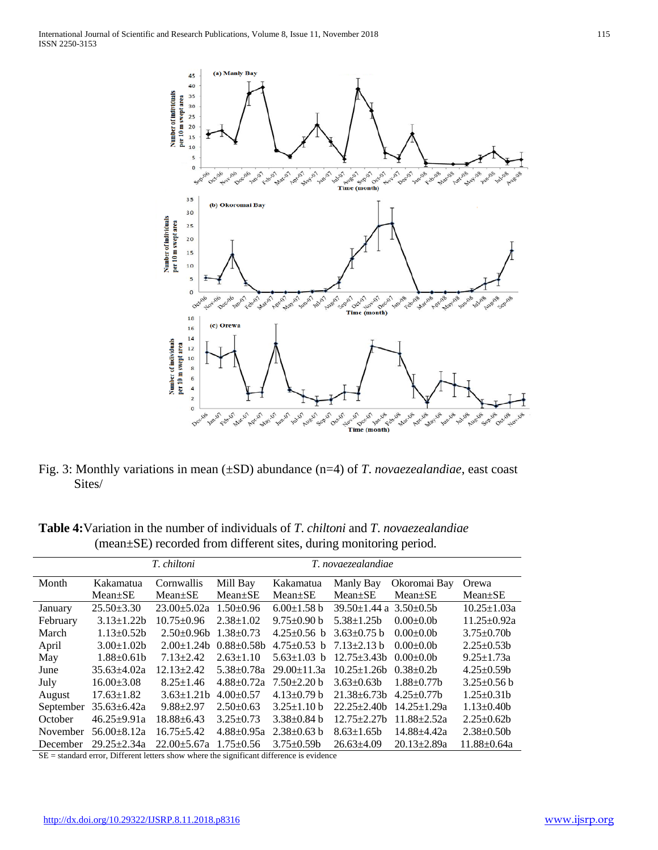

Fig. 3: Monthly variations in mean (±SD) abundance (n=4) of *T*. *novaezealandiae*, east coast Sites/

**Table 4:**Variation in the number of individuals of *T*. *chiltoni* and *T*. *novaezealandiae* (mean±SE) recorded from different sites, during monitoring period.

|           | T. chiltoni<br>T. novaezealandiae |                   |                  |                   |                                     |                   |                   |
|-----------|-----------------------------------|-------------------|------------------|-------------------|-------------------------------------|-------------------|-------------------|
| Month     | Kakamatua                         | Cornwallis        | Mill Bay         | Kakamatua         | Manly Bay                           | Okoromai Bay      | Orewa             |
|           | $Mean \pm SE$                     | $Mean \pm SE$     | $Mean \pm SE$    | $Mean \pm SE$     | $Mean \pm SE$                       | $Mean \pm SE$     | $Mean \pm SE$     |
| January   | $25.50 \pm 3.30$                  | $23.00 \pm 5.02a$ | $1.50\pm0.96$    | $6.00 \pm 1.58$ b | $39.50 \pm 1.44$ a $3.50 \pm 0.5$ b |                   | $10.25 \pm 1.03a$ |
| February  | $3.13 \pm 1.22 b$                 | $10.75 \pm 0.96$  | $2.38 \pm 1.02$  | $9.75 \pm 0.90$ b | $5.38 \pm 1.25b$                    | $0.00 \pm 0.0$    | $11.25 \pm 0.92a$ |
| March     | $1.13 \pm 0.52 b$                 | $2.50+0.96$       | $1.38 \pm 0.73$  | $4.25 \pm 0.56$ b | $3.63 \pm 0.75$ b                   | $0.00 \pm 0.0$    | $3.75 \pm 0.70$   |
| April     | $3.00 \pm 1.02 b$                 | $2.00 \pm 1.24$   | $0.88 \pm 0.58$  | $4.75 \pm 0.53$ b | $7.13 \pm 2.13$ b                   | $0.00+0.0b$       | $2.25 \pm 0.53b$  |
| May       | $1.88 \pm 0.61 b$                 | $7.13 \pm 2.42$   | $2.63 \pm 1.10$  | $5.63 \pm 1.03$ b | $12.75 \pm 3.43$                    | $0.00+0.0b$       | $9.25 \pm 1.73a$  |
| June      | $35.63 \pm 4.02a$                 | $12.13 \pm 2.42$  | $5.38 \pm 0.78a$ | $29.00 \pm 11.3a$ | $10.25 \pm 1.26$                    | $0.38 \pm 0.2b$   | $4.25 \pm 0.59$   |
| July      | $16.00 \pm 3.08$                  | $8.25 \pm 1.46$   | $4.88 \pm 0.72a$ | $7.50 \pm 2.20$ b | $3.63 \pm 0.63$                     | $1.88 \pm 0.77$ b | $3.25 \pm 0.56$ b |
| August    | $17.63 \pm 1.82$                  | $3.63 \pm 1.21b$  | $4.00 \pm 0.57$  | $4.13 \pm 0.79$ b | $21.38 \pm 6.73b$                   | $4.25 \pm 0.77$ b | $1.25 \pm 0.31$   |
| September | $35.63 \pm 6.42a$                 | $9.88 \pm 2.97$   | $2.50 \pm 0.63$  | $3.25 \pm 1.10 b$ | $22.25 \pm 2.40$                    | $14.25 \pm 1.29a$ | $1.13 \pm 0.40$   |
| October   | $46.25 \pm 9.91a$                 | $18.88 \pm 6.43$  | $3.25 \pm 0.73$  | $3.38 \pm 0.84$ b | $12.75 \pm 2.27b$                   | $11.88 + 2.52a$   | $2.25 \pm 0.62 b$ |
| November  | $56.00 \pm 8.12a$                 | $16.75 \pm 5.42$  | $4.88 \pm 0.95a$ | $2.38 \pm 0.63$ b | $8.63 \pm 1.65b$                    | 14.88±4.42a       | $2.38 \pm 0.50$   |
| December  | $29.25 \pm 2.34a$                 | $22.00 \pm 5.67a$ | $1.75 \pm 0.56$  | $3.75 \pm 0.59$   | $26.63\pm4.09$                      | $20.13 \pm 2.89a$ | $11.88 \pm 0.64a$ |

SE = standard error, Different letters show where the significant difference is evidence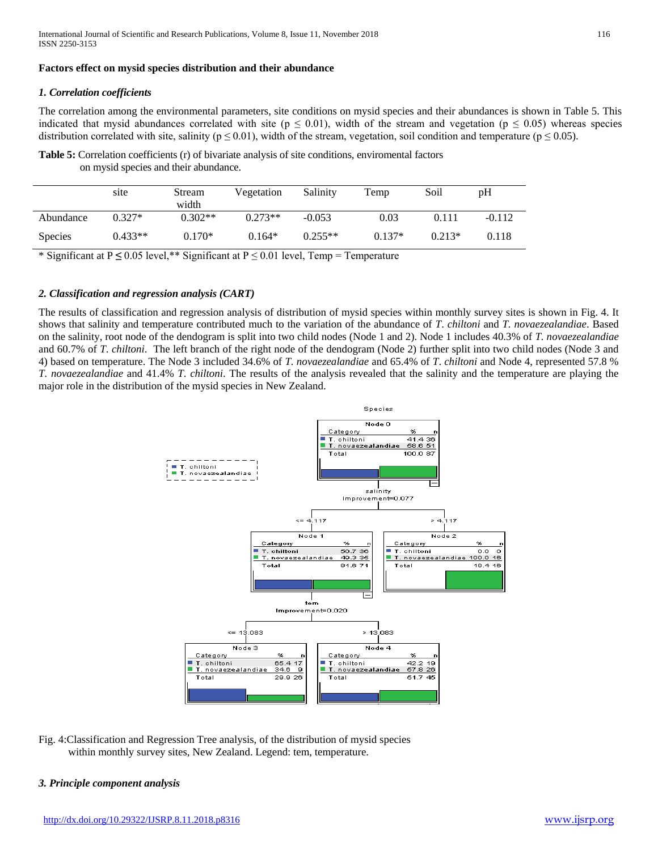#### **Factors effect on mysid species distribution and their abundance**

#### *1. Correlation coefficients*

The correlation among the environmental parameters, site conditions on mysid species and their abundances is shown in Table 5. This indicated that mysid abundances correlated with site ( $p \le 0.01$ ), width of the stream and vegetation ( $p \le 0.05$ ) whereas species distribution correlated with site, salinity ( $p \le 0.01$ ), width of the stream, vegetation, soil condition and temperature ( $p \le 0.05$ ).

**Table 5:** Correlation coefficients (r) of bivariate analysis of site conditions, enviromental factors on mysid species and their abundance.

|                | site      | Stream<br>width | Vegetation | Salinity  | Temp     | Soil     | pH       |
|----------------|-----------|-----------------|------------|-----------|----------|----------|----------|
| Abundance      | $0.327*$  | $0.302**$       | $0.273**$  | $-0.053$  | 0.03     | 0.111    | $-0.112$ |
| <b>Species</b> | $0.433**$ | $0.170*$        | $0.164*$   | $0.255**$ | $0.137*$ | $0.213*$ | 0.118    |

\* Significant at P **≤** 0.05 level,\*\* Significant at P ≤ 0.01 level, Temp = Temperature

#### *2. Classification and regression analysis (CART)*

The results of classification and regression analysis of distribution of mysid species within monthly survey sites is shown in Fig. 4. It shows that salinity and temperature contributed much to the variation of the abundance of *T*. *chiltoni* and *T. novaezealandiae*. Based on the salinity, root node of the dendogram is split into two child nodes (Node 1 and 2). Node 1 includes 40.3% of *T. novaezealandiae* and 60.7% of *T*. *chiltoni*. The left branch of the right node of the dendogram (Node 2) further split into two child nodes (Node 3 and 4) based on temperature. The Node 3 included 34.6% of *T. novaezealandiae* and 65.4% of *T*. *chiltoni* and Node 4, represented 57.8 % *T. novaezealandiae* and 41.4% *T*. *chiltoni*. The results of the analysis revealed that the salinity and the temperature are playing the major role in the distribution of the mysid species in New Zealand.



Fig. 4:Classification and Regression Tree analysis, of the distribution of mysid species within monthly survey sites, New Zealand. Legend: tem, temperature.

#### *3. Principle component analysis*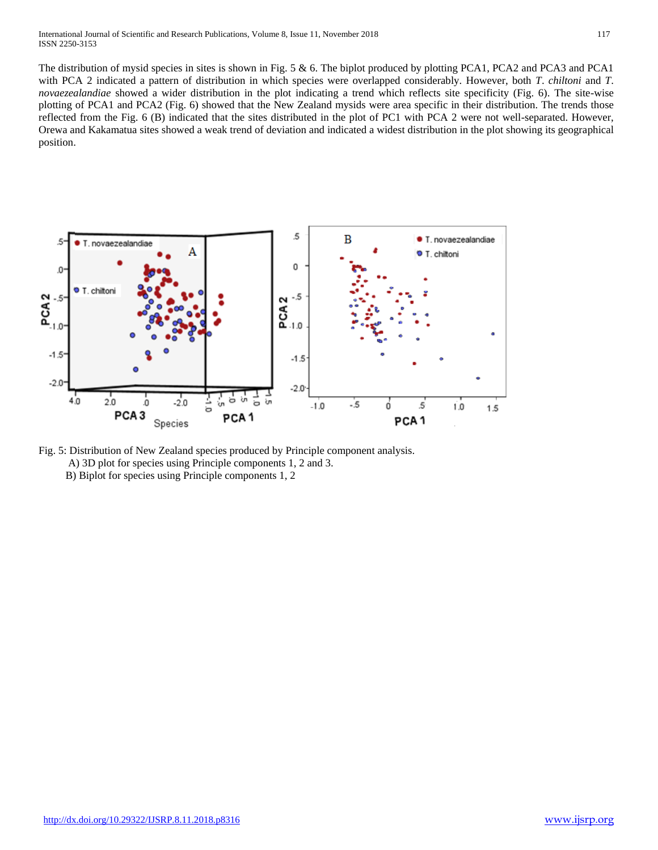The distribution of mysid species in sites is shown in Fig. 5 & 6. The biplot produced by plotting PCA1, PCA2 and PCA3 and PCA1 with PCA 2 indicated a pattern of distribution in which species were overlapped considerably. However, both *T*. *chiltoni* and *T*. *novaezealandiae* showed a wider distribution in the plot indicating a trend which reflects site specificity (Fig. 6). The site-wise plotting of PCA1 and PCA2 (Fig. 6) showed that the New Zealand mysids were area specific in their distribution. The trends those reflected from the Fig. 6 (B) indicated that the sites distributed in the plot of PC1 with PCA 2 were not well-separated. However, Orewa and Kakamatua sites showed a weak trend of deviation and indicated a widest distribution in the plot showing its geographical position.



Fig. 5: Distribution of New Zealand species produced by Principle component analysis. A) 3D plot for species using Principle components 1, 2 and 3.

B) Biplot for species using Principle components 1, 2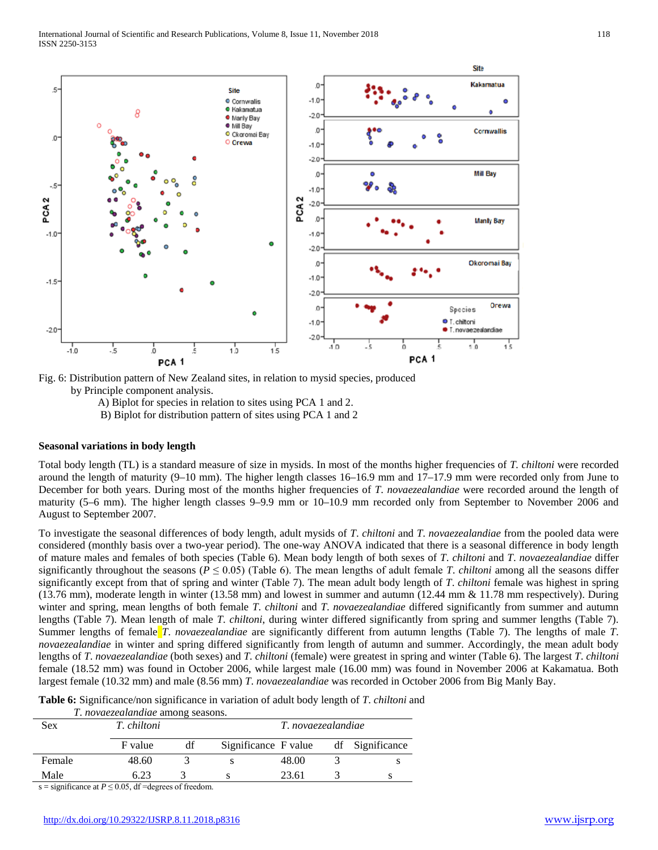

Fig. 6: Distribution pattern of New Zealand sites, in relation to mysid species, produced by Principle component analysis.

A) Biplot for species in relation to sites using PCA 1 and 2.

B) Biplot for distribution pattern of sites using PCA 1 and 2

#### **Seasonal variations in body length**

Total body length (TL) is a standard measure of size in mysids. In most of the months higher frequencies of *T. chiltoni* were recorded around the length of maturity (9–10 mm). The higher length classes 16–16.9 mm and 17–17.9 mm were recorded only from June to December for both years. During most of the months higher frequencies of *T*. *novaezealandiae* were recorded around the length of maturity (5–6 mm). The higher length classes 9–9.9 mm or 10–10.9 mm recorded only from September to November 2006 and August to September 2007.

To investigate the seasonal differences of body length, adult mysids of *T*. *chiltoni* and *T*. *novaezealandiae* from the pooled data were considered (monthly basis over a two-year period). The one-way ANOVA indicated that there is a seasonal difference in body length of mature males and females of both species (Table 6). Mean body length of both sexes of *T*. *chiltoni* and *T*. *novaezealandiae* differ significantly throughout the seasons ( $P \le 0.05$ ) (Table 6). The mean lengths of adult female *T*. *chiltoni* among all the seasons differ significantly except from that of spring and winter (Table 7). The mean adult body length of *T*. *chiltoni* female was highest in spring (13.76 mm), moderate length in winter (13.58 mm) and lowest in summer and autumn (12.44 mm & 11.78 mm respectively). During winter and spring, mean lengths of both female *T*. *chiltoni* and *T*. *novaezealandiae* differed significantly from summer and autumn lengths (Table 7). Mean length of male *T*. *chiltoni*, during winter differed significantly from spring and summer lengths (Table 7). Summer lengths of female *T*. *novaezealandiae* are significantly different from autumn lengths (Table 7). The lengths of male *T*. *novaezealandiae* in winter and spring differed significantly from length of autumn and summer. Accordingly, the mean adult body lengths of *T*. *novaezealandiae* (both sexes) and *T*. *chiltoni* (female) were greatest in spring and winter (Table 6). The largest *T*. *chiltoni*  female (18.52 mm) was found in October 2006, while largest male (16.00 mm) was found in November 2006 at Kakamatua. Both largest female (10.32 mm) and male (8.56 mm) *T*. *novaezealandiae* was recorded in October 2006 from Big Manly Bay.

**Table 6:** Significance/non significance in variation of adult body length of *T*. *chiltoni* and

| Sex     | T. chiltoni |               | T. novaezealandiae   |       |  |                 |
|---------|-------------|---------------|----------------------|-------|--|-----------------|
|         | F value     | df            | Significance F value |       |  | df Significance |
| Female  | 48.60       |               |                      | 48.00 |  |                 |
| Male    | 6.23        |               |                      | 23.61 |  |                 |
| $\cdot$ |             | $\sim$ $\sim$ |                      |       |  |                 |

s = significance at  $P \le 0.05$ , df =degrees of freedom.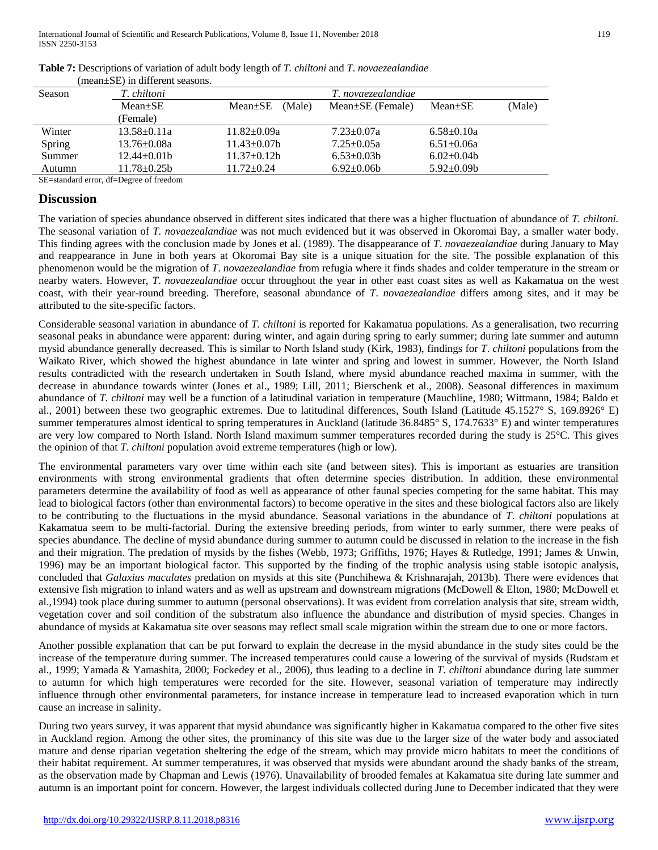|        | (mean-bl) in unicient seasons. |                         |                        |                  |        |  |  |
|--------|--------------------------------|-------------------------|------------------------|------------------|--------|--|--|
| Season | T. chiltoni                    | T. novaezealandiae      |                        |                  |        |  |  |
|        | $Mean + SE$                    | (Male)<br>$Mean \pm SE$ | $Mean \pm SE$ (Female) | $Mean \pm SE$    | (Male) |  |  |
|        | (Female)                       |                         |                        |                  |        |  |  |
| Winter | $13.58 \pm 0.11a$              | $11.82 \pm 0.09a$       | $7.23 \pm 0.07a$       | $6.58 \pm 0.10a$ |        |  |  |
| Spring | $13.76 \pm 0.08a$              | $11.43 \pm 0.07 b$      | $7.25 \pm 0.05a$       | $6.51 \pm 0.06a$ |        |  |  |
| Summer | $12.44 + 0.01b$                | $11.37 \pm 0.12$ b      | $6.53 \pm 0.03$        | $6.02+0.04b$     |        |  |  |
| Autumn | $11.78 \pm 0.25$ b             | 11.72±0.24              | $6.92 \pm 0.06b$       | $5.92 \pm 0.09b$ |        |  |  |

## **Table 7:** Descriptions of variation of adult body length of *T. chiltoni* and *T*. *novaezealandiae*

(mean±SE) in different seasons.

SE=standard error, df=Degree of freedom

## **Discussion**

The variation of species abundance observed in different sites indicated that there was a higher fluctuation of abundance of *T. chiltoni.* The seasonal variation of *T. novaezealandiae* was not much evidenced but it was observed in Okoromai Bay, a smaller water body. This finding agrees with the conclusion made by Jones et al. (1989). The disappearance of *T*. *novaezealandiae* during January to May and reappearance in June in both years at Okoromai Bay site is a unique situation for the site. The possible explanation of this phenomenon would be the migration of *T*. *novaezealandiae* from refugia where it finds shades and colder temperature in the stream or nearby waters. However, *T*. *novaezealandiae* occur throughout the year in other east coast sites as well as Kakamatua on the west coast, with their year-round breeding. Therefore, seasonal abundance of *T*. *novaezealandiae* differs among sites, and it may be attributed to the site-specific factors.

Considerable seasonal variation in abundance of *T. chiltoni* is reported for Kakamatua populations. As a generalisation, two recurring seasonal peaks in abundance were apparent: during winter, and again during spring to early summer; during late summer and autumn mysid abundance generally decreased. This is similar to North Island study (Kirk, 1983), findings for *T*. *chiltoni* populations from the Waikato River, which showed the highest abundance in late winter and spring and lowest in summer. However, the North Island results contradicted with the research undertaken in South Island, where mysid abundance reached maxima in summer, with the decrease in abundance towards winter (Jones et al., 1989; Lill, 2011; Bierschenk et al., 2008). Seasonal differences in maximum abundance of *T. chiltoni* may well be a function of a latitudinal variation in temperature (Mauchline, 1980; Wittmann, 1984; Baldo et al., 2001) between these two geographic extremes. Due to latitudinal differences, South Island (Latitude 45.1527° S, 169.8926° E) summer temperatures almost identical to spring temperatures in Auckland (latitude 36.8485° S, 174.7633° E) and winter temperatures are very low compared to North Island. North Island maximum summer temperatures recorded during the study is 25°C. This gives the opinion of that *T*. *chiltoni* population avoid extreme temperatures (high or low).

The environmental parameters vary over time within each site (and between sites). This is important as estuaries are transition environments with strong environmental gradients that often determine species distribution. In addition, these environmental parameters determine the availability of food as well as appearance of other faunal species competing for the same habitat. This may lead to biological factors (other than environmental factors) to become operative in the sites and these biological factors also are likely to be contributing to the fluctuations in the mysid abundance. Seasonal variations in the abundance of *T*. *chiltoni* populations at Kakamatua seem to be multi-factorial. During the extensive breeding periods, from winter to early summer, there were peaks of species abundance. The decline of mysid abundance during summer to autumn could be discussed in relation to the increase in the fish and their migration. The predation of mysids by the fishes (Webb, 1973; Griffiths, 1976; Hayes & Rutledge, 1991; James & Unwin, 1996) may be an important biological factor. This supported by the finding of the trophic analysis using stable isotopic analysis, concluded that *Galaxius maculates* predation on mysids at this site (Punchihewa & Krishnarajah, 2013b). There were evidences that extensive fish migration to inland waters and as well as upstream and downstream migrations (McDowell & Elton, 1980; McDowell et al.,1994) took place during summer to autumn (personal observations). It was evident from correlation analysis that site, stream width, vegetation cover and soil condition of the substratum also influence the abundance and distribution of mysid species. Changes in abundance of mysids at Kakamatua site over seasons may reflect small scale migration within the stream due to one or more factors.

Another possible explanation that can be put forward to explain the decrease in the mysid abundance in the study sites could be the increase of the temperature during summer. The increased temperatures could cause a lowering of the survival of mysids (Rudstam et al., 1999; Yamada & Yamashita, 2000; Fockedey et al., 2006), thus leading to a decline in *T*. *chiltoni* abundance during late summer to autumn for which high temperatures were recorded for the site. However, seasonal variation of temperature may indirectly influence through other environmental parameters, for instance increase in temperature lead to increased evaporation which in turn cause an increase in salinity.

During two years survey, it was apparent that mysid abundance was significantly higher in Kakamatua compared to the other five sites in Auckland region. Among the other sites, the prominancy of this site was due to the larger size of the water body and associated mature and dense riparian vegetation sheltering the edge of the stream, which may provide micro habitats to meet the conditions of their habitat requirement. At summer temperatures, it was observed that mysids were abundant around the shady banks of the stream, as the observation made by Chapman and Lewis (1976). Unavailability of brooded females at Kakamatua site during late summer and autumn is an important point for concern. However, the largest individuals collected during June to December indicated that they were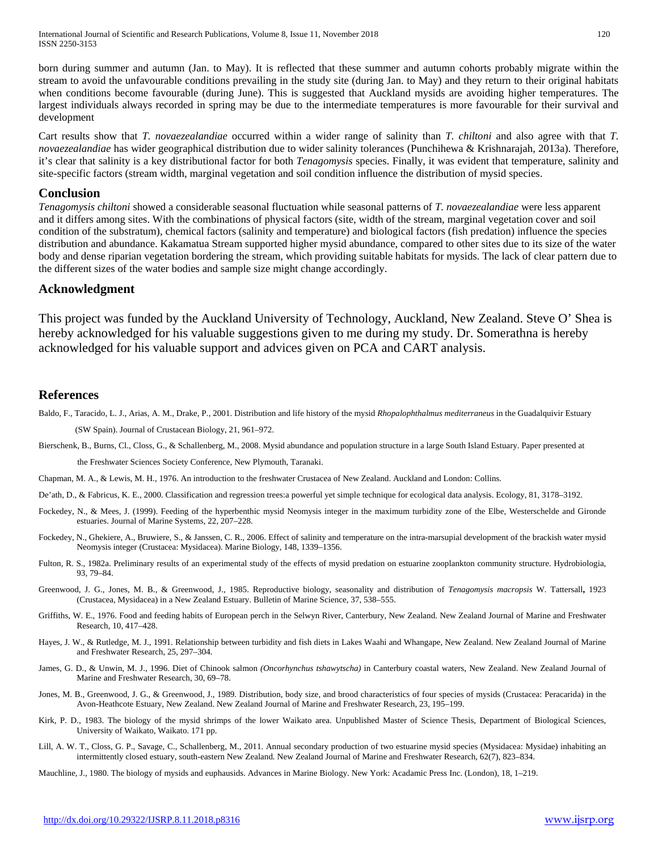born during summer and autumn (Jan. to May). It is reflected that these summer and autumn cohorts probably migrate within the stream to avoid the unfavourable conditions prevailing in the study site (during Jan. to May) and they return to their original habitats when conditions become favourable (during June). This is suggested that Auckland mysids are avoiding higher temperatures. The largest individuals always recorded in spring may be due to the intermediate temperatures is more favourable for their survival and development

Cart results show that *T. novaezealandiae* occurred within a wider range of salinity than *T. chiltoni* and also agree with that *T. novaezealandiae* has wider geographical distribution due to wider salinity tolerances (Punchihewa & Krishnarajah, 2013a). Therefore, it's clear that salinity is a key distributional factor for both *Tenagomysis* species. Finally, it was evident that temperature, salinity and site-specific factors (stream width, marginal vegetation and soil condition influence the distribution of mysid species.

#### **Conclusion**

*Tenagomysis chiltoni* showed a considerable seasonal fluctuation while seasonal patterns of *T. novaezealandiae* were less apparent and it differs among sites. With the combinations of physical factors (site, width of the stream, marginal vegetation cover and soil condition of the substratum), chemical factors (salinity and temperature) and biological factors (fish predation) influence the species distribution and abundance. Kakamatua Stream supported higher mysid abundance, compared to other sites due to its size of the water body and dense riparian vegetation bordering the stream, which providing suitable habitats for mysids. The lack of clear pattern due to the different sizes of the water bodies and sample size might change accordingly.

## **Acknowledgment**

This project was funded by the Auckland University of Technology, Auckland, New Zealand. Steve O' Shea is hereby acknowledged for his valuable suggestions given to me during my study. Dr. Somerathna is hereby acknowledged for his valuable support and advices given on PCA and CART analysis.

## **References**

- Baldo, F., Taracido, L. J., Arias, A. M., Drake, P., 2001. Distribution and life history of the mysid *Rhopalophthalmus mediterraneus* in the Guadalquivir Estuary (SW Spain). Journal of Crustacean Biology, 21, 961–972.
- Bierschenk, B., Burns, Cl., Closs, G., & Schallenberg, M., 2008. Mysid abundance and population structure in a large South Island Estuary. Paper presented at

the Freshwater Sciences Society Conference, New Plymouth, Taranaki.

Chapman, M. A., & Lewis, M. H., 1976. An introduction to the freshwater Crustacea of New Zealand. Auckland and London: Collins.

- De'ath, D., & Fabricus, K. E., 2000. Classification and regression trees:a powerful yet simple technique for ecological data analysis. Ecology, 81, 3178–3192.
- Fockedey, N., & Mees, J. (1999). Feeding of the hyperbenthic mysid Neomysis integer in the maximum turbidity zone of the Elbe, Westerschelde and Gironde estuaries. Journal of Marine Systems, 22, 207–228.
- Fockedey, N., Ghekiere, A., Bruwiere, S., & Janssen, C. R., 2006. Effect of salinity and temperature on the intra-marsupial development of the brackish water mysid Neomysis integer (Crustacea: Mysidacea). Marine Biology, 148, 1339–1356.
- Fulton, R. S., 1982a. Preliminary results of an experimental study of the effects of mysid predation on estuarine zooplankton community structure. Hydrobiologia, 93, 79–84.
- Greenwood, J. G., Jones, M. B., & Greenwood, J., 1985. Reproductive biology, seasonality and distribution of *Tenagomysis macropsis* W. Tattersall**,** 1923 (Crustacea, Mysidacea) in a New Zealand Estuary. Bulletin of Marine Science, 37, 538–555.
- Griffiths, W. E., 1976. Food and feeding habits of European perch in the Selwyn River, Canterbury, New Zealand. New Zealand Journal of Marine and Freshwater Research, 10, 417–428.
- Hayes, J. W., & Rutledge, M. J., 1991. Relationship between turbidity and fish diets in Lakes Waahi and Whangape, New Zealand. New Zealand Journal of Marine and Freshwater Research, 25, 297–304.
- James, G. D., & Unwin, M. J., 1996. Diet of Chinook salmon *(Oncorhynchus tshawytscha)* in Canterbury coastal waters, New Zealand. New Zealand Journal of Marine and Freshwater Research, 30, 69–78.
- Jones, M. B., Greenwood, J. G., & Greenwood, J., 1989. Distribution, body size, and brood characteristics of four species of mysids (Crustacea: Peracarida) in the Avon-Heathcote Estuary, New Zealand. New Zealand Journal of Marine and Freshwater Research, 23, 195–199.
- Kirk, P. D., 1983. The biology of the mysid shrimps of the lower Waikato area. Unpublished Master of Science Thesis, Department of Biological Sciences, University of Waikato, Waikato. 171 pp.
- Lill, A. W. T., Closs, G. P., Savage, C., Schallenberg, M., 2011. Annual secondary production of two estuarine mysid species (Mysidacea: Mysidae) inhabiting an intermittently closed estuary, south-eastern New Zealand*.* New Zealand Journal of Marine and Freshwater Research, 62(7), 823–834.

Mauchline, J., 1980. The biology of mysids and euphausids. Advances in Marine Biology. New York: Acadamic Press Inc. (London), 18, 1–219.